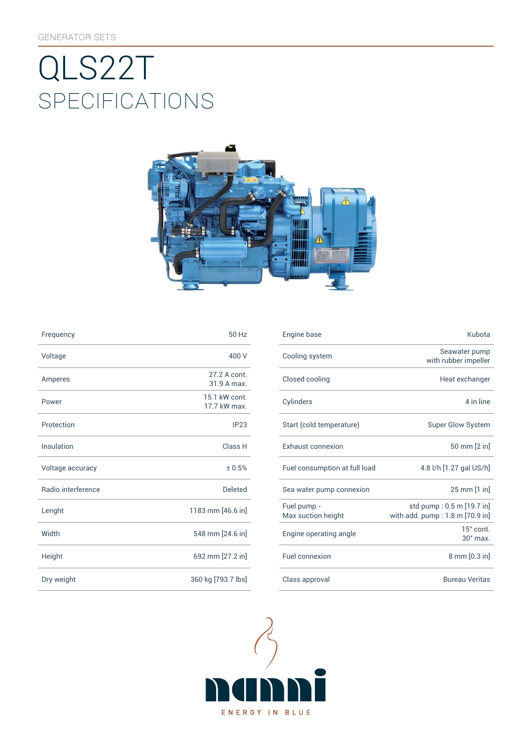# SpEcificATiONS QLS22T



| Frequency          | 50 Hz                         | Engine base                |
|--------------------|-------------------------------|----------------------------|
| Voltage            | 400 V                         | Cooling syst               |
| Amperes            | 27.2 A cont.<br>31.9 A max.   | Closed cooli               |
| Power              | 15.1 kW cont.<br>17.7 kW max. | Cylinders                  |
| Protection         | IP23                          | Start (cold te             |
| Insulation         | Class H                       | Exhaust con                |
| Voltage accuracy   | ± 0.5%                        | Fuel consum                |
| Radio interference | <b>Deleted</b>                | Sea water pu               |
| Lenght             | 1183 mm [46.6 in]             | Fuel pump -<br>Max suction |
| Width              | 548 mm [24.6 in]              | Engine opera               |
| Height             | 692 mm [27.2 in]              | Fuel connexi               |
| Dry weight         | 360 kg [793.7 lbs]            | Class approv               |

| Frequency          | 50 Hz                         | Engine base                       | Kubota                                                       |
|--------------------|-------------------------------|-----------------------------------|--------------------------------------------------------------|
| Voltage            | 400 V                         | Cooling system                    | Seawater pump<br>with rubber impeller                        |
| Amperes            | 27.2 A cont.<br>31.9 A max.   | Closed cooling                    | Heat exchanger                                               |
| Power              | 15.1 kW cont.<br>17.7 kW max. | Cylinders                         | 4 in line                                                    |
| Protection         | IP23                          | Start (cold temperature)          | Super Glow System                                            |
| Insulation         | Class H                       | Exhaust connexion                 | 50 mm [2 in]                                                 |
| Voltage accuracy   | ± 0.5%                        | Fuel consumption at full load     | 4.8 l/h [1.27 gal US/h]                                      |
| Radio interference | <b>Deleted</b>                | Sea water pump connexion          | 25 mm [1 in]                                                 |
| Lenght             | 1183 mm [46.6 in]             | Fuel pump -<br>Max suction height | std pump: 0.5 m [19.7 in]<br>with add. pump: 1.8 m [70.9 in] |
| Width              | 548 mm [24.6 in]              | Engine operating angle            | $15^\circ$ cont.<br>$30^\circ$ max.                          |
| Height             | 692 mm [27.2 in]              | Fuel connexion                    | 8 mm [0.3 in]                                                |
| Dry weight         | 360 kg [793.7 lbs]            | Class approval                    | <b>Bureau Veritas</b>                                        |